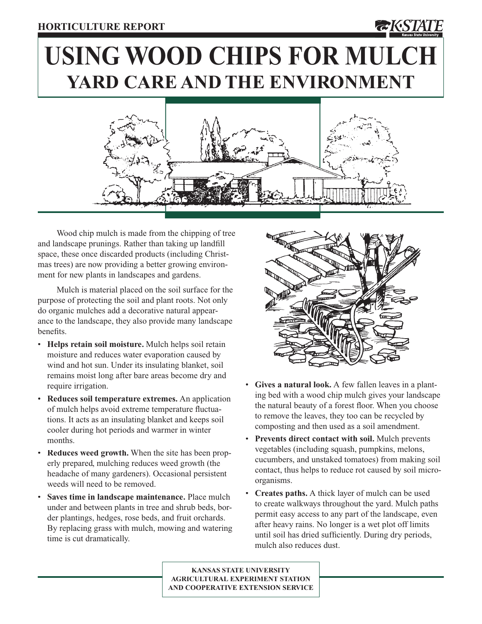# **USING WOOD CHIPS FOR MULCH YARD CARE AND THE ENVIRONMENT**



Wood chip mulch is made from the chipping of tree and landscape prunings. Rather than taking up landfill space, these once discarded products (including Christmas trees) are now providing a better growing environment for new plants in landscapes and gardens.

Mulch is material placed on the soil surface for the purpose of protecting the soil and plant roots. Not only do organic mulches add a decorative natural appearance to the landscape, they also provide many landscape benefits.

- **Helps retain soil moisture.** Mulch helps soil retain moisture and reduces water evaporation caused by wind and hot sun. Under its insulating blanket, soil remains moist long after bare areas become dry and require irrigation.
- **Reduces soil temperature extremes.** An application of mulch helps avoid extreme temperature fluctuations. It acts as an insulating blanket and keeps soil cooler during hot periods and warmer in winter months.
- Reduces weed growth. When the site has been properly prepared, mulching reduces weed growth (the headache of many gardeners). Occasional persistent weeds will need to be removed.
- **Saves time in landscape maintenance.** Place mulch under and between plants in tree and shrub beds, border plantings, hedges, rose beds, and fruit orchards. By replacing grass with mulch, mowing and watering time is cut dramatically.



- **Gives a natural look.** A few fallen leaves in a planting bed with a wood chip mulch gives your landscape the natural beauty of a forest floor. When you choose to remove the leaves, they too can be recycled by composting and then used as a soil amendment.
- **Prevents direct contact with soil.** Mulch prevents vegetables (including squash, pumpkins, melons, cucumbers, and unstaked tomatoes) from making soil contact, thus helps to reduce rot caused by soil microorganisms.
- **Creates paths.** A thick layer of mulch can be used to create walkways throughout the yard. Mulch paths permit easy access to any part of the landscape, even after heavy rains. No longer is a wet plot off limits until soil has dried sufficiently. During dry periods, mulch also reduces dust.

**KANSAS STATE UNIVERSITY AGRICULTURAL EXPERIMENT STATION AND COOPERATIVE EXTENSION SERVICE**